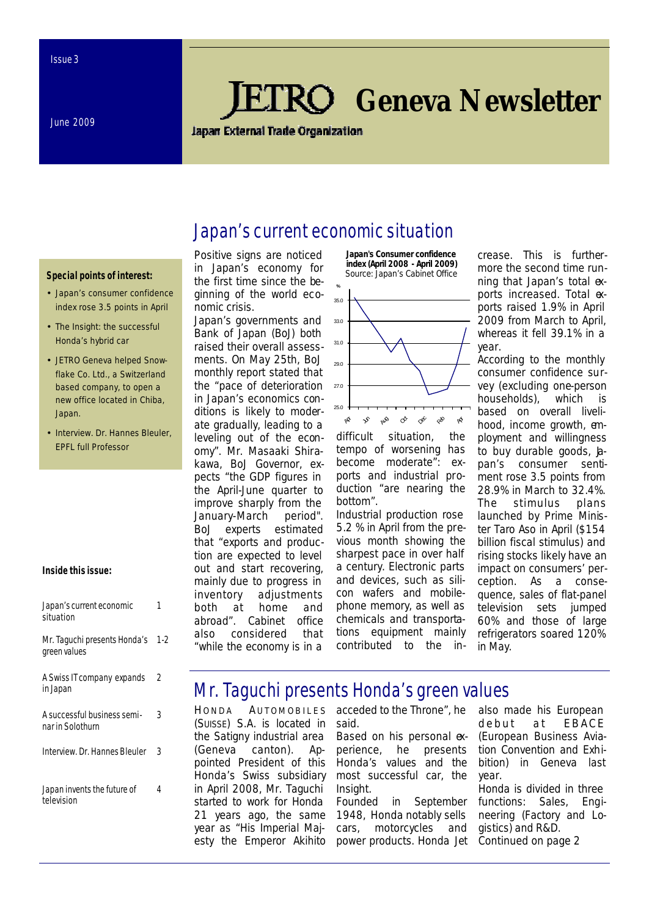June 2009

# *Geneva Newsletter*

**Japan External Trade Organization** 

Japan's current economic situation

#### **Special points of interest:**

- Japan's consumer confidence index rose 3.5 points in April
- The Insight: the successful Honda's hybrid car
- JETRO Geneva helped Snowflake Co. Ltd., a Switzerland based company, to open a new office located in Chiba, Japan.
- Interview. Dr. Hannes Bleuler, EPFL full Professor

#### **Inside this issue:**

| Japan's current economic<br>situation           |       |
|-------------------------------------------------|-------|
| Mr. Taguchi presents Honda's<br>green values    | $1-2$ |
| A Swiss IT company expands<br>in Japan          | 2     |
| A successful business semi-<br>nar in Solothurn | 3     |
| Interview. Dr. Hannes Bleuler                   | 3     |
| Japan invents the future of<br>television       | 4     |

Positive signs are noticed in Japan's economy for the first time since the beginning of the world economic crisis.

Japan's governments and Bank of Japan (BoJ) both raised their overall assessments. On May 25th, BoJ monthly report stated that the "pace of deterioration in Japan's economics conditions is likely to moderate gradually, leading to a leveling out of the economy". Mr. Masaaki Shirakawa, BoJ Governor, expects "the GDP figures in the April-June quarter to improve sharply from the January-March period". BoJ experts estimated that "exports and production are expected to level out and start recovering, mainly due to progress in inventory adjustments both at home and abroad". Cabinet office also considered that "while the economy is in a



difficult situation, the tempo of worsening has become moderate": exports and industrial production "are nearing the bottom".

Industrial production rose 5.2 % in April from the previous month showing the sharpest pace in over half a century. Electronic parts and devices, such as silicon wafers and mobilephone memory, as well as chemicals and transportations equipment mainly contributed to the increase. This is furthermore the second time running that Japan's total exports increased. Total exports raised 1.9% in April 2009 from March to April, whereas it fell 39.1% in a year.

According to the monthly consumer confidence survey (excluding one-person households), which is based on overall livelihood, income growth, employment and willingness to buy durable goods,  $\Delta$ pan's consumer sentiment rose 3.5 points from 28.9% in March to 32.4%. The stimulus plans launched by Prime Minister Taro Aso in April (\$154 billion fiscal stimulus) and rising stocks likely have an impact on consumers' perception. As a consequence, sales of flat-panel television sets jumped 60% and those of large refrigerators soared 120% in May.

## Mr. Taguchi presents Honda's green values

*HONDA A UTOMOBILES (SUISSE) S.A.* is located in the Satigny industrial area (Geneva canton). Appointed President of this *Honda*'s Swiss subsidiary in April 2008, Mr. Taguchi started to work for Honda 21 years ago, the same year as "His Imperial Majesty the Emperor Akihito

said. Based on his personal experience, he presents *Honda*'s values and the most successful car, the Insight.

acceded to the Throne", he

Founded in September 1948, *Honda* notably sells cars, motorcycles and power products. Honda Jet also made his European debut at EBACE (European Business Aviation Convention and Exhibition) in Geneva last year.

Honda is divided in three functions: Sales, Engineering (Factory and Logistics) and R&D. *Continued on page 2*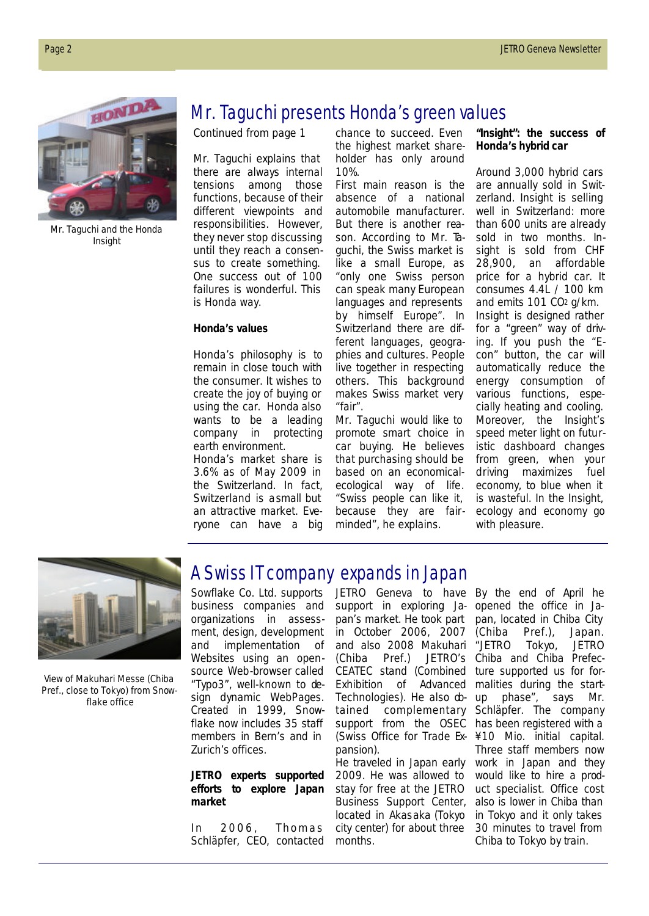

Mr. Taguchi and the *Honda* Insight

## Mr. Taguchi presents Honda's green values

*Continued from page 1*

Mr. Taguchi explains that there are always internal tensions among those functions, because of their different viewpoints and responsibilities. However, they never stop discussing until they reach a consensus to create something. One success out of 100 failures is wonderful. This is Honda way.

#### *Honda's values*

*Honda*'s philosophy is to remain in close touch with the consumer. It wishes to create the joy of buying or using the car. *Honda* also wants to be a leading company in protecting earth environment. *Honda*'s market share is 3.6% as of May 2009 in the Switzerland. In fact, Switzerland is a small but an attractive market. Everyone can have a big chance to succeed. Even the highest market shareholder has only around 10%.

First main reason is the absence of a national automobile manufacturer. But there is another reason. According to Mr. Taguchi, the Swiss market is like a small Europe, as "only one Swiss person can speak many European languages and represents by himself Europe". In Switzerland there are different languages, geographies and cultures. People live together in respecting others. This background makes Swiss market very "fair".

Mr. Taguchi would like to promote smart choice in car buying. He believes that purchasing should be based on an economicalecological way of life. "Swiss people can like it, because they are fairminded", he explains.

*"Insight": the success of Honda's hybrid car* 

Around 3,000 hybrid cars are annually sold in Switzerland. Insight is selling well in Switzerland: more than 600 units are already sold in two months. Insight is sold from CHF 28,900, an affordable price for a hybrid car. It consumes 4.4L / 100 km and emits 101 CO2 g/km. Insight is designed rather for a "green" way of driving. If you push the "Econ" button, the car will automatically reduce the energy consumption of various functions, especially heating and cooling. Moreover, the Insight's speed meter light on futuristic dashboard changes from green, when your driving maximizes fuel economy, to blue when it is wasteful. In the Insight, ecology and economy go with pleasure.



View of Makuhari Messe (Chiba Pref., close to Tokyo) from Snowflake office

## A Swiss IT company expands in Japan

Sowflake Co. Ltd. supports business companies and organizations in assessment, design, development and implementation of Websites using an opensource Web-browser called "Typo3", well-known to design dynamic WebPages. Created in 1999, *Snowflake* now includes 35 staff members in Bern's and in Zurich's offices.

#### *JETRO experts supported efforts to explore Japan market*

In 2006, Thomas Schläpfer, CEO, contacted

JETRO Geneva to have By the end of April he support in exploring Ja-opened the office in Japan's market. He took part in October 2006, 2007 and also 2008 Makuhari "JETRO Tokyo, JETRO (Chiba Pref.) JETRO's CEATEC stand (Combined Exhibition of Advanced Technologies). He also dtained complementary support from the OSEC (Swiss Office for Trade Ex-¥10 Mio. initial capital. pansion).

He traveled in Japan early 2009. He was allowed to stay for free at the JETRO Business Support Center, located in Akasaka (Tokyo city center) for about three months.

pan, located in Chiba City (Chiba Pref.), Japan. Chiba and Chiba Prefecture supported us for formalities during the startup phase", says Mr. Schläpfer. The company has been registered with a Three staff members now work in Japan and they would like to hire a product specialist. Office cost also is lower in Chiba than in Tokyo and it only takes 30 minutes to travel from Chiba to Tokyo by train.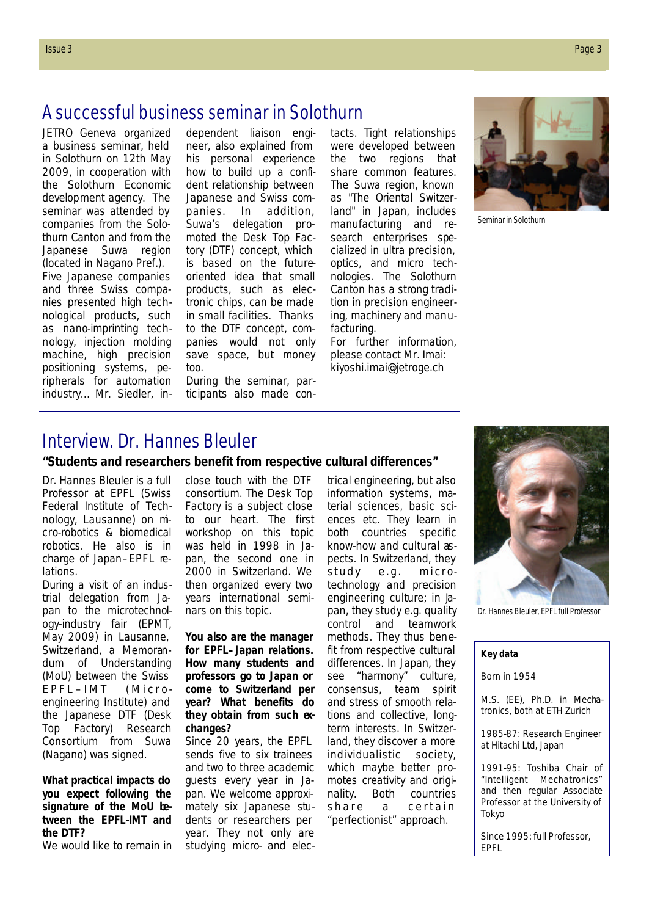JETRO Geneva organized a business seminar, held in Solothurn on 12th May 2009, in cooperation with the Solothurn Economic development agency. The seminar was attended by companies from the Solothurn Canton and from the Japanese Suwa region (located in Nagano Pref.). Five Japanese companies and three Swiss companies presented high technological products, such as nano-imprinting technology, injection molding machine, high precision positioning systems, peripherals for automation industry… Mr. Siedler, independent liaison engineer, also explained from his personal experience how to build up a confident relationship between Japanese and Swiss companies. In addition, Suwa's delegation promoted the Desk Top Factory (DTF) concept, which is based on the futureoriented idea that small products, such as electronic chips, can be made in small facilities. Thanks to the DTF concept, companies would not only save space, but money too.

During the seminar, participants also made contacts. Tight relationships were developed between the two regions that share common features. The Suwa region, known as "The Oriental Switzerland" in Japan, includes manufacturing and research enterprises specialized in ultra precision, optics, and micro technologies. The Solothurn Canton has a strong tradition in precision engineering, machinery and manufacturing.

For further information, please contact Mr. Imai: kiyoshi.imai@jetroge.ch



Seminar in Solothurn

### Interview. Dr. Hannes Bleuler

**"Students and researchers benefit from respective cultural differences"**

Dr. Hannes Bleuler is a full Professor at EPFL (Swiss Federal Institute of Technology, Lausanne) on micro-robotics & biomedical robotics. He also is in charge of Japan–EPFL relations.

During a visit of an industrial delegation from Japan to the microtechnology-industry fair (EPMT, May 2009) in Lausanne, Switzerland, a Memorandum of Understanding (MoU) between the Swiss EPFL –IMT (Microengineering Institute) and the Japanese DTF (Desk Top Factory) Research Consortium from Suwa (Nagano) was signed.

*What practical impacts do you expect following the signature of the MoU between the EPFL-IMT and the DTF?*

We would like to remain in

close touch with the DTF consortium. The Desk Top Factory is a subject close to our heart. The first workshop on this topic was held in 1998 in Japan, the second one in 2000 in Switzerland. We then organized every two years international seminars on this topic.

*You also are the manager for EPFL–Japan relations. How many students and professors go to Japan or come to Switzerland per year? What benefits do they obtain from such exchanges?*

Since 20 years, the EPFL sends five to six trainees and two to three academic guests every year in Japan. We welcome approximately six Japanese students or researchers per year. They not only are studying micro- and electrical engineering, but also information systems, material sciences, basic sciences etc. They learn in both countries specific know-how and cultural aspects. In Switzerland, they study e.g. microtechnology and precision engineering culture; in bpan, they study e.g. quality control and teamwork methods. They thus benefit from respective cultural differences. In Japan, they see "harmony" culture, consensus, team spirit and stress of smooth relations and collective, longterm interests. In Switzerland, they discover a more individualistic society, which maybe better promotes creativity and originality. Both countries share a certain "perfectionist" approach.



Dr. Hannes Bleuler, EPFL full Professor

#### **Key data**

Born in 1954

M.S. (EE), Ph.D. in Mechatronics, both at ETH Zurich

1985-87: Research Engineer at Hitachi Ltd, Japan

1991-95: Toshiba Chair of "Intelligent Mechatronics" and then regular Associate Professor at the University of Tokyo

Since 1995: full Professor, EPFL